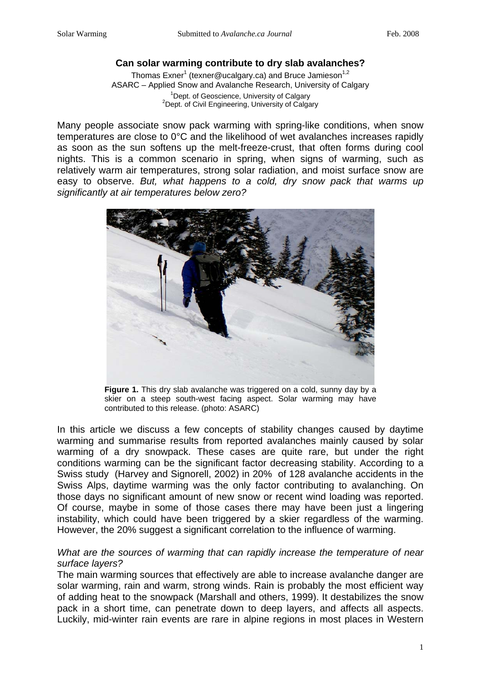# **Can solar warming contribute to dry slab avalanches?**

Thomas Exner<sup>1</sup> (texner@ucalgary.ca) and Bruce Jamieson<sup>1,2</sup> ASARC – Applied Snow and Avalanche Research, University of Calgary 1  $1$ Dept. of Geoscience, University of Calgary  $2$ Dept. of Civil Engineering, University of Calgary

Many people associate snow pack warming with spring-like conditions, when snow temperatures are close to 0°C and the likelihood of wet avalanches increases rapidly as soon as the sun softens up the melt-freeze-crust, that often forms during cool nights. This is a common scenario in spring, when signs of warming, such as relatively warm air temperatures, strong solar radiation, and moist surface snow are easy to observe. *But, what happens to a cold, dry snow pack that warms up significantly at air temperatures below zero?* 



**Figure 1.** This dry slab avalanche was triggered on a cold, sunny day by a skier on a steep south-west facing aspect. Solar warming may have contributed to this release. (photo: ASARC)

In this article we discuss a few concepts of stability changes caused by daytime warming and summarise results from reported avalanches mainly caused by solar warming of a dry snowpack. These cases are quite rare, but under the right conditions warming can be the significant factor decreasing stability. According to a Swiss study (Harvey and Signorell, 2002) in 20% of 128 avalanche accidents in the Swiss Alps, daytime warming was the only factor contributing to avalanching. On those days no significant amount of new snow or recent wind loading was reported. Of course, maybe in some of those cases there may have been just a lingering instability, which could have been triggered by a skier regardless of the warming. However, the 20% suggest a significant correlation to the influence of warming.

## *What are the sources of warming that can rapidly increase the temperature of near surface layers?*

The main warming sources that effectively are able to increase avalanche danger are solar warming, rain and warm, strong winds. Rain is probably the most efficient way of adding heat to the snowpack (Marshall and others, 1999). It destabilizes the snow pack in a short time, can penetrate down to deep layers, and affects all aspects. Luckily, mid-winter rain events are rare in alpine regions in most places in Western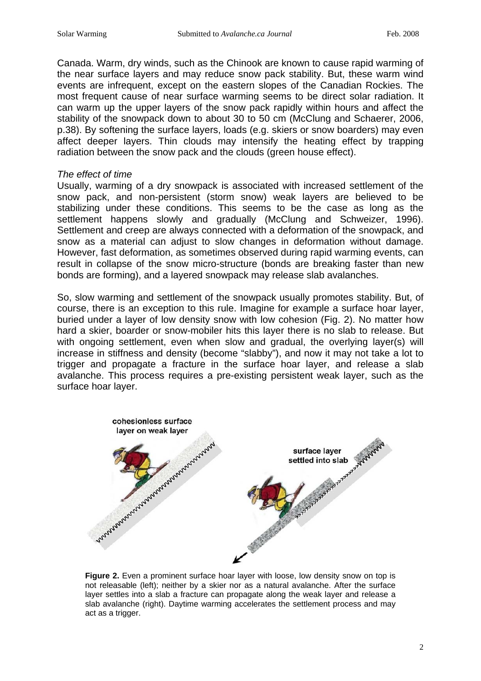Canada. Warm, dry winds, such as the Chinook are known to cause rapid warming of the near surface layers and may reduce snow pack stability. But, these warm wind events are infrequent, except on the eastern slopes of the Canadian Rockies. The most frequent cause of near surface warming seems to be direct solar radiation. It can warm up the upper layers of the snow pack rapidly within hours and affect the stability of the snowpack down to about 30 to 50 cm (McClung and Schaerer, 2006, p.38). By softening the surface layers, loads (e.g. skiers or snow boarders) may even affect deeper layers. Thin clouds may intensify the heating effect by trapping radiation between the snow pack and the clouds (green house effect).

#### *The effect of time*

Usually, warming of a dry snowpack is associated with increased settlement of the snow pack, and non-persistent (storm snow) weak layers are believed to be stabilizing under these conditions. This seems to be the case as long as the settlement happens slowly and gradually (McClung and Schweizer, 1996). Settlement and creep are always connected with a deformation of the snowpack, and snow as a material can adjust to slow changes in deformation without damage. However, fast deformation, as sometimes observed during rapid warming events, can result in collapse of the snow micro-structure (bonds are breaking faster than new bonds are forming), and a layered snowpack may release slab avalanches.

So, slow warming and settlement of the snowpack usually promotes stability. But, of course, there is an exception to this rule. Imagine for example a surface hoar layer, buried under a layer of low density snow with low cohesion (Fig. 2). No matter how hard a skier, boarder or snow-mobiler hits this layer there is no slab to release. But with ongoing settlement, even when slow and gradual, the overlying layer(s) will increase in stiffness and density (become "slabby"), and now it may not take a lot to trigger and propagate a fracture in the surface hoar layer, and release a slab avalanche. This process requires a pre-existing persistent weak layer, such as the surface hoar layer.



**Figure 2.** Even a prominent surface hoar layer with loose, low density snow on top is not releasable (left); neither by a skier nor as a natural avalanche. After the surface layer settles into a slab a fracture can propagate along the weak layer and release a slab avalanche (right). Daytime warming accelerates the settlement process and may act as a trigger.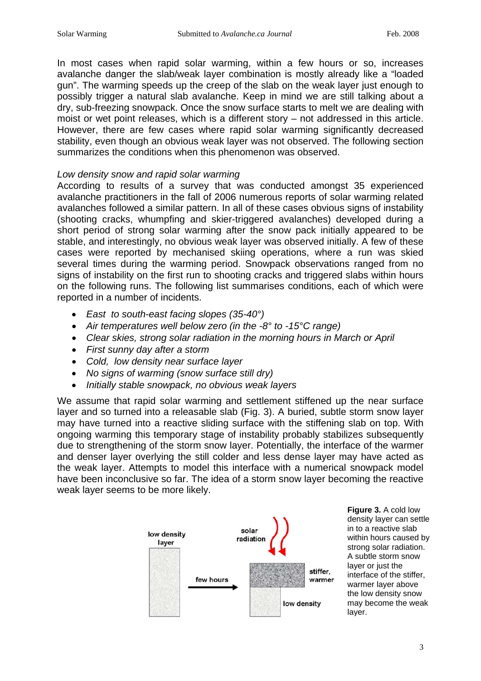In most cases when rapid solar warming, within a few hours or so, increases avalanche danger the slab/weak layer combination is mostly already like a "loaded gun". The warming speeds up the creep of the slab on the weak layer just enough to possibly trigger a natural slab avalanche. Keep in mind we are still talking about a dry, sub-freezing snowpack. Once the snow surface starts to melt we are dealing with moist or wet point releases, which is a different story – not addressed in this article. However, there are few cases where rapid solar warming significantly decreased stability, even though an obvious weak layer was not observed. The following section summarizes the conditions when this phenomenon was observed.

### *Low density snow and rapid solar warming*

According to results of a survey that was conducted amongst 35 experienced avalanche practitioners in the fall of 2006 numerous reports of solar warming related avalanches followed a similar pattern. In all of these cases obvious signs of instability (shooting cracks, whumpfing and skier-triggered avalanches) developed during a short period of strong solar warming after the snow pack initially appeared to be stable, and interestingly, no obvious weak layer was observed initially. A few of these cases were reported by mechanised skiing operations, where a run was skied several times during the warming period. Snowpack observations ranged from no signs of instability on the first run to shooting cracks and triggered slabs within hours on the following runs. The following list summarises conditions, each of which were reported in a number of incidents.

- *East to south-east facing slopes (35-40°)*
- *Air temperatures well below zero (in the -8° to -15°C range)*
- *Clear skies, strong solar radiation in the morning hours in March or April*
- *First sunny day after a storm*
- *Cold, low density near surface layer*
- *No signs of warming (snow surface still dry)*
- *Initially stable snowpack, no obvious weak layers*

We assume that rapid solar warming and settlement stiffened up the near surface layer and so turned into a releasable slab (Fig. 3). A buried, subtle storm snow layer may have turned into a reactive sliding surface with the stiffening slab on top. With ongoing warming this temporary stage of instability probably stabilizes subsequently due to strengthening of the storm snow layer. Potentially, the interface of the warmer and denser layer overlying the still colder and less dense layer may have acted as the weak layer. Attempts to model this interface with a numerical snowpack model have been inconclusive so far. The idea of a storm snow layer becoming the reactive weak layer seems to be more likely.



**Figure 3. A cold low** density layer can settle in to a reactive slab within hours caused by strong solar radiation. A subtle storm snow laver or just the interface of the stiffer, warmer layer above the low density snow may become the weak layer.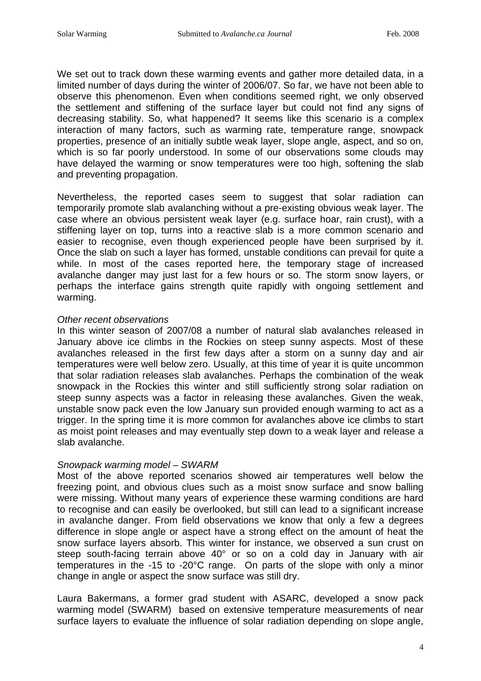We set out to track down these warming events and gather more detailed data, in a limited number of days during the winter of 2006/07. So far, we have not been able to observe this phenomenon. Even when conditions seemed right, we only observed the settlement and stiffening of the surface layer but could not find any signs of decreasing stability. So, what happened? It seems like this scenario is a complex interaction of many factors, such as warming rate, temperature range, snowpack properties, presence of an initially subtle weak layer, slope angle, aspect, and so on, which is so far poorly understood. In some of our observations some clouds may have delayed the warming or snow temperatures were too high, softening the slab and preventing propagation.

Nevertheless, the reported cases seem to suggest that solar radiation can temporarily promote slab avalanching without a pre-existing obvious weak layer. The case where an obvious persistent weak layer (e.g. surface hoar, rain crust), with a stiffening layer on top, turns into a reactive slab is a more common scenario and easier to recognise, even though experienced people have been surprised by it. Once the slab on such a layer has formed, unstable conditions can prevail for quite a while. In most of the cases reported here, the temporary stage of increased avalanche danger may just last for a few hours or so. The storm snow layers, or perhaps the interface gains strength quite rapidly with ongoing settlement and warming.

### *Other recent observations*

In this winter season of 2007/08 a number of natural slab avalanches released in January above ice climbs in the Rockies on steep sunny aspects. Most of these avalanches released in the first few days after a storm on a sunny day and air temperatures were well below zero. Usually, at this time of year it is quite uncommon that solar radiation releases slab avalanches. Perhaps the combination of the weak snowpack in the Rockies this winter and still sufficiently strong solar radiation on steep sunny aspects was a factor in releasing these avalanches. Given the weak, unstable snow pack even the low January sun provided enough warming to act as a trigger. In the spring time it is more common for avalanches above ice climbs to start as moist point releases and may eventually step down to a weak layer and release a slab avalanche.

### *Snowpack warming model – SWARM*

Most of the above reported scenarios showed air temperatures well below the freezing point, and obvious clues such as a moist snow surface and snow balling were missing. Without many years of experience these warming conditions are hard to recognise and can easily be overlooked, but still can lead to a significant increase in avalanche danger. From field observations we know that only a few a degrees difference in slope angle or aspect have a strong effect on the amount of heat the snow surface layers absorb. This winter for instance, we observed a sun crust on steep south-facing terrain above 40° or so on a cold day in January with air temperatures in the -15 to -20°C range. On parts of the slope with only a minor change in angle or aspect the snow surface was still dry.

Laura Bakermans, a former grad student with ASARC, developed a snow pack warming model (SWARM) based on extensive temperature measurements of near surface layers to evaluate the influence of solar radiation depending on slope angle,